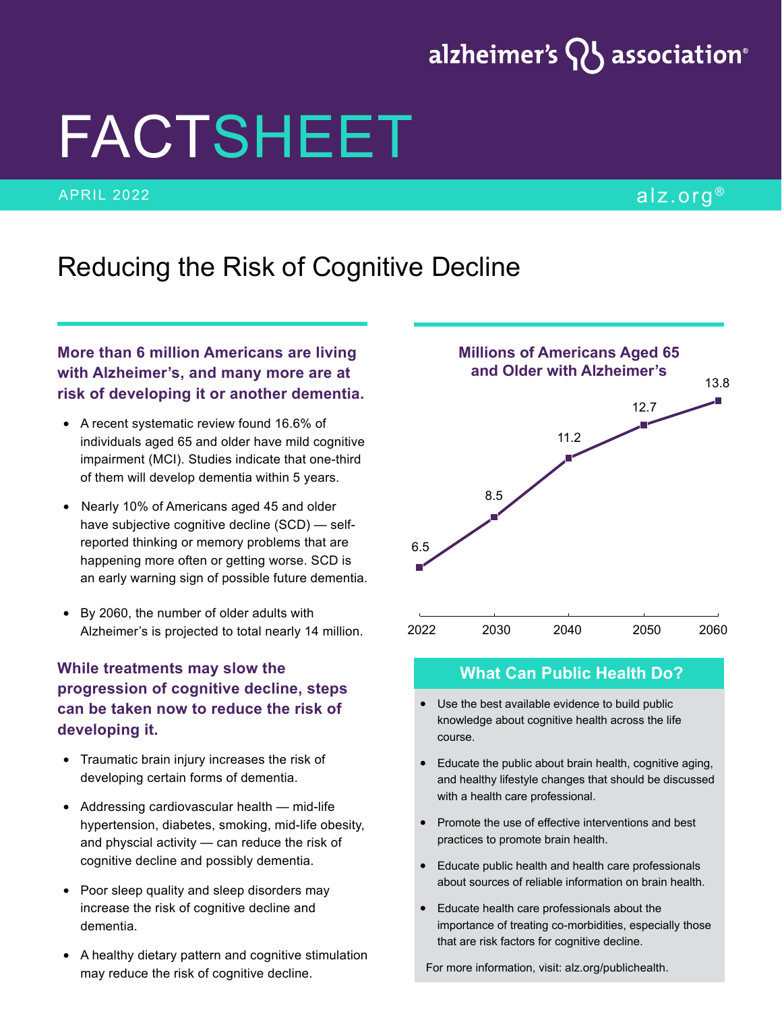## alzheimer's  $\{ \}$  association $^{\circ}$

# FACTSHEET

#### APRIL 2022 alz.org ®

### Reducing the Risk of Cognitive Decline

#### **More than 6 million Americans are living with Alzheimer's, and many more are at risk of developing it or another dementia.**

- A recent systematic review found 16.6% of individuals aged 65 and older have mild cognitive impairment (MCI). Studies indicate that one-third of them will develop dementia within 5 years.
- Nearly 10% of Americans aged 45 and older have subjective cognitive decline (SCD) — selfreported thinking or memory problems that are happening more often or getting worse. SCD is an early warning sign of possible future dementia.
- By 2060, the number of older adults with Alzheimer's is projected to total nearly 14 million.

#### **While treatments may slow the progression of cognitive decline, steps can be taken now to reduce the risk of developing it.**

- Traumatic brain injury increases the risk of developing certain forms of dementia.
- Addressing cardiovascular health mid-life hypertension, diabetes, smoking, mid-life obesity, and physcial activity — can reduce the risk of cognitive decline and possibly dementia.
- Poor sleep quality and sleep disorders may increase the risk of cognitive decline and dementia.
- A healthy dietary pattern and cognitive stimulation may reduce the risk of cognitive decline.



#### **What Can Public Health Do?**

- Use the best available evidence to build public knowledge about cognitive health across the life course.
- Educate the public about brain health, cognitive aging, and healthy lifestyle changes that should be discussed with a health care professional.
- Promote the use of effective interventions and best practices to promote brain health.
- Educate public health and health care professionals about sources of reliable information on brain health.
- Educate health care professionals about the importance of treating co-morbidities, especially those that are risk factors for cognitive decline.

For more information, visit: alz.org/publichealth.